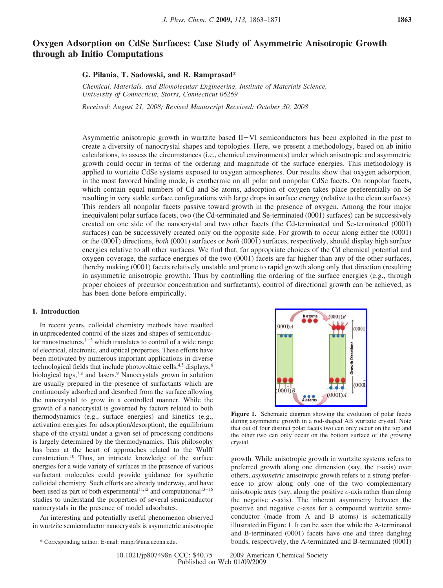# **Oxygen Adsorption on CdSe Surfaces: Case Study of Asymmetric Anisotropic Growth through ab Initio Computations**

# **G. Pilania, T. Sadowski, and R. Ramprasad\***

*Chemical, Materials, and Biomolecular Engineering, Institute of Materials Science, Uni*V*ersity of Connecticut, Storrs, Connecticut 06269*

*Recei*V*ed: August 21, 2008; Re*V*ised Manuscript Recei*V*ed: October 30, 2008*

Asymmetric anisotropic growth in wurtzite based II-VI semiconductors has been exploited in the past to create a diversity of nanocrystal shapes and topologies. Here, we present a methodology, based on ab initio calculations, to assess the circumstances (i.e., chemical environments) under which anisotropic and asymmetric growth could occur in terms of the ordering and magnitude of the surface energies. This methodology is applied to wurtzite CdSe systems exposed to oxygen atmospheres. Our results show that oxygen adsorption, in the most favored binding mode, is exothermic on all polar and nonpolar CdSe facets. On nonpolar facets, which contain equal numbers of Cd and Se atoms, adsorption of oxygen takes place preferentially on Se resulting in very stable surface configurations with large drops in surface energy (relative to the clean surfaces). This renders all nonpolar facets passive toward growth in the presence of oxygen. Among the four major inequivalent polar surface facets, two (the Cd-terminated and Se-terminated (0001) surfaces) can be successively created on one side of the nanocrystal and two other facets (the Cd-terminated and Se-terminated (0001j) surfaces) can be successively created only on the opposite side. For growth to occur along either the (0001) or the (0001j) directions, *both* (0001) surfaces or *both* (0001j) surfaces, respectively, should display high surface energies relative to all other surfaces. We find that, for appropriate choices of the Cd chemical potential and oxygen coverage, the surface energies of the two (0001) facets are far higher than any of the other surfaces, thereby making (0001) facets relatively unstable and prone to rapid growth along only that direction (resulting in asymmetric anisotropic growth). Thus by controlling the ordering of the surface energies (e.g., through proper choices of precursor concentration and surfactants), control of directional growth can be achieved, as has been done before empirically.

# **I. Introduction**

In recent years, colloidal chemistry methods have resulted in unprecedented control of the sizes and shapes of semiconductor nanostructures, $1-3$  which translates to control of a wide range of electrical, electronic, and optical properties. These efforts have been motivated by numerous important applications in diverse technological fields that include photovoltaic cells,  $4.5$  displays,  $6$ biological tags,<sup>7,8</sup> and lasers.<sup>9</sup> Nanocrystals grown in solution are usually prepared in the presence of surfactants which are continuously adsorbed and desorbed from the surface allowing the nanocrystal to grow in a controlled manner. While the growth of a nanocrystal is governed by factors related to both thermodynamics (e.g., surface energies) and kinetics (e.g., activation energies for adsorption/desorption), the equilibrium shape of the crystal under a given set of processing conditions is largely determined by the thermodynamics. This philosophy has been at the heart of approaches related to the Wulff construction.10 Thus, an intricate knowledge of the surface energies for a wide variety of surfaces in the presence of various surfactant molecules could provide guidance for synthetic colloidal chemistry. Such efforts are already underway, and have been used as part of both experimental<sup>11,12</sup> and computational<sup>13-15</sup> studies to understand the properties of several semiconductor nanocrystals in the presence of model adsorbates.

An interesting and potentially useful phenomenon observed in wurtzite semiconductor nanocrystals is asymmetric anisotropic

**Figure 1.** Schematic diagram showing the evolution of polar facets during asymmetric growth in a rod-shaped AB wurtzite crystal. Note that out of four distinct polar facets two can only occur on the top and the other two can only occur on the bottom surface of the growing crystal.

growth. While anisotropic growth in wurtzite systems refers to preferred growth along one dimension (say, the *c*-axis) over others, *asymmetric* anisotropic growth refers to a strong preference to grow along only one of the two complementary anisotropic axes (say, along the positive *c*-axis rather than along the negative *c*-axis). The inherent asymmetry between the positive and negative *c*-axes for a compound wurtzite semiconductor (made from A and B atoms) is schematically illustrated in Figure 1. It can be seen that while the A-terminated and B-terminated (0001) facets have one and three dangling \* Corresponding author. E-mail: rampi@ims.uconn.edu.  $\bullet$  bonds, respectively, the A-terminated and B-terminated (0001)

 $(0001)B$  $000<sub>0.4</sub>$  $(0001$ **Growth Directions**  $(000)$  $0001B$  $(0001)A$  $<sub>A</sub>$  atoms</sub>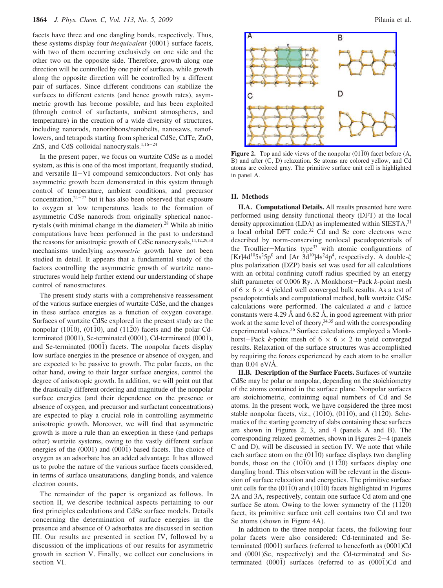facets have three and one dangling bonds, respectively. Thus, these systems display four *inequivalent* {0001} surface facets, with two of them occurring exclusively on one side and the other two on the opposite side. Therefore, growth along one direction will be controlled by one pair of surfaces, while growth along the opposite direction will be controlled by a different pair of surfaces. Since different conditions can stabilize the surfaces to different extents (and hence growth rates), asymmetric growth has become possible, and has been exploited (through control of surfactants, ambient atmospheres, and temperature) in the creation of a wide diversity of structures, including nanorods, nanoribbons/nanobelts, nanosaws, nanoflowers, and tetrapods starting from spherical CdSe, CdTe, ZnO, ZnS, and CdS colloidal nanocrystals.<sup>1,16-24</sup>

In the present paper, we focus on wurtzite CdSe as a model system, as this is one of the most important, frequently studied, and versatile II-VI compound semiconductors. Not only has asymmetric growth been demonstrated in this system through control of temperature, ambient conditions, and precursor concentration, $24-27$  but it has also been observed that exposure to oxygen at low temperatures leads to the formation of asymmetric CdSe nanorods from originally spherical nanocrystals (with minimal change in the diameter).<sup>28</sup> While ab initio computations have been performed in the past to understand the reasons for anisotropic growth of CdSe nanocrystals,<sup>11,12,29,30</sup> mechanisms underlying *asymmetric* growth have not been studied in detail. It appears that a fundamental study of the factors controlling the asymmetric growth of wurtzite nanostructures would help further extend our understanding of shape control of nanostructures.

The present study starts with a comprehensive reassessment of the various surface energies of wurtzite CdSe, and the changes in these surface energies as a function of oxygen coverage. Surfaces of wurtzite CdSe explored in the present study are the nonpolar (1010), (0110), and (1120) facets and the polar Cdterminated (0001), Se-terminated (0001), Cd-terminated (000 $\overline{1}$ ), and Se-terminated  $(000\bar{1})$  facets. The nonpolar facets display low surface energies in the presence or absence of oxygen, and are expected to be passive to growth. The polar facets, on the other hand, owing to their larger surface energies, control the degree of anisotropic growth. In addition, we will point out that the drastically different ordering and magnitude of the nonpolar surface energies (and their dependence on the presence or absence of oxygen, and precursor and surfactant concentrations) are expected to play a crucial role in controlling asymmetric anisotropic growth. Moreover, we will find that asymmetric growth is more a rule than an exception in these (and perhaps other) wurtzite systems, owing to the vastly different surface energies of the  $(0001)$  and  $(000\bar{1})$  based facets. The choice of oxygen as an adsorbate has an added advantage. It has allowed us to probe the nature of the various surface facets considered, in terms of surface unsaturations, dangling bonds, and valence electron counts.

The remainder of the paper is organized as follows. In section II, we describe technical aspects pertaining to our first principles calculations and CdSe surface models. Details concerning the determination of surface energies in the presence and absence of O adsorbates are discussed in section III. Our results are presented in section IV, followed by a discussion of the implications of our results for asymmetric growth in section V. Finally, we collect our conclusions in section VI.



**Figure 2.** Top and side views of the nonpolar  $(01\bar{1}0)$  facet before  $(A, A)$ B) and after (C, D) relaxation. Se atoms are colored yellow, and Cd atoms are colored gray. The primitive surface unit cell is highlighted in panel A.

# **II. Methods**

**II.A. Computational Details.** All results presented here were performed using density functional theory (DFT) at the local density approximation  $(LDA)$  as implemented within SIESTA, $31$ a local orbital DFT code.<sup>32</sup> Cd and Se core electrons were described by norm-conserving nonlocal pseudopotentials of the Troullier-Martins type<sup>33</sup> with atomic configurations of [Kr] $4d^{10}5s^25p^0$  and [Ar  $3d^{10}$ ] $4s^24p^4$ , respectively. A double- $\zeta$ plus polarization (DZP) basis set was used for all calculations with an orbital confining cutoff radius specified by an energy shift parameter of 0.006 Ry. A Monkhorst-Pack *<sup>k</sup>*-point mesh of  $6 \times 6 \times 4$  yielded well converged bulk results. As a test of pseudopotentials and computational method, bulk wurtzite CdSe calculations were performed. The calculated *a* and *c* lattice constants were 4.29 Å and 6.82 Å, in good agreement with prior work at the same level of theory,  $34,35$  and with the corresponding experimental values.<sup>36</sup> Surface calculations employed a Monkhorst-Pack *k*-point mesh of  $6 \times 6 \times 2$  to yield converged results. Relaxation of the surface structures was accomplished by requiring the forces experienced by each atom to be smaller than 0.04 eV/Å.

**II.B. Description of the Surface Facets.** Surfaces of wurtzite CdSe may be polar or nonpolar, depending on the stoichiometry of the atoms contained in the surface plane. Nonpolar surfaces are stoichiometric, containing equal numbers of Cd and Se atoms. In the present work, we have considered the three most stable nonpolar facets, viz.,  $(10\overline{1}0)$ ,  $(01\overline{1}0)$ , and  $(11\overline{2}0)$ . Schematics of the starting geometry of slabs containing these surfaces are shown in Figures 2, 3, and 4 (panels A and B). The corresponding relaxed geometries, shown in Figures 2-4 (panels C and D), will be discussed in section IV. We note that while each surface atom on the  $(0110)$  surface displays two dangling bonds, those on the  $(10\overline{1}0)$  and  $(11\overline{2}0)$  surfaces display one dangling bond. This observation will be relevant in the discussion of surface relaxation and energetics. The primitive surface unit cells for the  $(0110)$  and  $(1010)$  facets highlighted in Figures 2A and 3A, respectively, contain one surface Cd atom and one surface Se atom. Owing to the lower symmetry of the  $(1120)$ facet, its primitive surface unit cell contains two Cd and two Se atoms (shown in Figure 4A).

In addition to the three nonpolar facets, the following four polar facets were also considered: Cd-terminated and Seterminated (0001) surfaces (referred to henceforth as (0001)Cd and (0001)Se, respectively) and the Cd-terminated and Seterminated  $(000\bar{1})$  surfaces (referred to as  $(000\bar{1})Cd$  and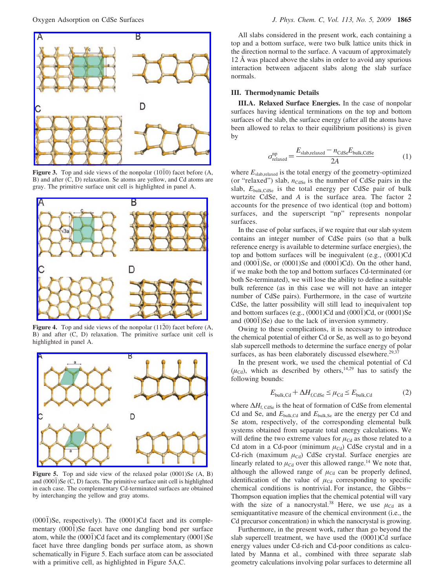

**Figure 3.** Top and side views of the nonpolar  $(10\overline{1}0)$  facet before (A, B) and after (C, D) relaxation. Se atoms are yellow, and Cd atoms are gray. The primitive surface unit cell is highlighted in panel A.



**Figure 4.** Top and side views of the nonpolar  $(11\overline{2}0)$  facet before  $(A, B)$ B) and after (C, D) relaxation. The primitive surface unit cell is highlighted in panel A.



**Figure 5.** Top and side view of the relaxed polar  $(0001)$ Se  $(A, B)$ and  $(000\bar{1})$ Se (C, D) facets. The primitive surface unit cell is highlighted in each case. The complementary Cd-terminated surfaces are obtained by interchanging the yellow and gray atoms.

 $(0001)$ Se, respectively). The  $(0001)$ Cd facet and its complementary (0001)Se facet have one dangling bond per surface atom, while the (0001)Cd facet and its complementary (0001)Se facet have three dangling bonds per surface atom, as shown schematically in Figure 5. Each surface atom can be associated with a primitive cell, as highlighted in Figure 5A,C.

All slabs considered in the present work, each containing a top and a bottom surface, were two bulk lattice units thick in the direction normal to the surface. A vacuum of approximately 12 Å was placed above the slabs in order to avoid any spurious interaction between adjacent slabs along the slab surface normals.

# **III. Thermodynamic Details**

**III.A. Relaxed Surface Energies.** In the case of nonpolar surfaces having identical terminations on the top and bottom surfaces of the slab, the surface energy (after all the atoms have been allowed to relax to their equilibrium positions) is given by

$$
\sigma_{\text{relaxed}}^{\text{np}} = \frac{E_{\text{slab,relaxed}} - n_{\text{CdSe}} E_{\text{bulk,CdSe}}}{2A} \tag{1}
$$

where  $E_{\text{slab,relaxed}}$  is the total energy of the geometry-optimized (or "relaxed") slab,  $n_{\text{Case}}$  is the number of CdSe pairs in the slab,  $E_{\text{bulk,CdSe}}$  is the total energy per CdSe pair of bulk wurtzite CdSe, and *A* is the surface area. The factor 2 accounts for the presence of two identical (top and bottom) surfaces, and the superscript "np" represents nonpolar surfaces.

In the case of polar surfaces, if we require that our slab system contains an integer number of CdSe pairs (so that a bulk reference energy is available to determine surface energies), the top and bottom surfaces will be inequivalent (e.g., (0001)Cd and  $(000\bar{1})$ Se, or  $(0001)$ Se and  $(000\bar{1})$ Cd). On the other hand, if we make both the top and bottom surfaces Cd-terminated (or both Se-terminated), we will lose the ability to define a suitable bulk reference (as in this case we will not have an integer number of CdSe pairs). Furthermore, in the case of wurtzite CdSe, the latter possibility will still lead to inequivalent top and bottom surfaces (e.g.,  $(0001)$ Cd and  $(000\bar{1})$ Cd, or  $(0001)$ Se and  $(0001)$ Se) due to the lack of inversion symmetry.

Owing to these complications, it is necessary to introduce the chemical potential of either Cd or Se, as well as to go beyond slab supercell methods to determine the surface energy of polar surfaces, as has been elaborately discussed elsewhere.<sup>29,37</sup>

In the present work, we used the chemical potential of Cd  $(\mu_{\text{Cd}})$ , which as described by others,<sup>14,29</sup> has to satisfy the following bounds:

$$
E_{\text{bulk,Cd}} + \Delta H_{\text{f,CdSe}} \le \mu_{\text{Cd}} \le E_{\text{bulk,Cd}} \tag{2}
$$

where Δ*H*<sub>f, CdSe</sub> is the heat of formation of CdSe from elemental Cd and Se, and  $E_{\text{bulk,Cd}}$  and  $E_{\text{bulk,Se}}$  are the energy per Cd and Se atom, respectively, of the corresponding elemental bulk systems obtained from separate total energy calculations. We will define the two extreme values for  $\mu_{\text{Cd}}$  as those related to a Cd atom in a Cd-poor (minimum  $\mu_{\text{Cd}}$ ) CdSe crystal and in a Cd-rich (maximum  $\mu_{\text{Cd}}$ ) CdSe crystal. Surface energies are linearly related to  $\mu_{\text{Cd}}$  over this allowed range.<sup>14</sup> We note that, although the allowed range of  $\mu_{\text{Cd}}$  can be properly defined, identification of the value of  $\mu_{\text{Cd}}$  corresponding to specific chemical conditions is nontrivial. For instance, the Gibbs-Thompson equation implies that the chemical potential will vary with the size of a nanocrystal.<sup>38</sup> Here, we use  $\mu_{\text{Cd}}$  as a semiquantitative measure of the chemical environment (i.e., the Cd precursor concentration) in which the nanocrystal is growing.

Furthermore, in the present work, rather than go beyond the slab supercell treatment, we have used the (0001)Cd surface energy values under Cd-rich and Cd-poor conditions as calculated by Manna et al., combined with three separate slab geometry calculations involving polar surfaces to determine all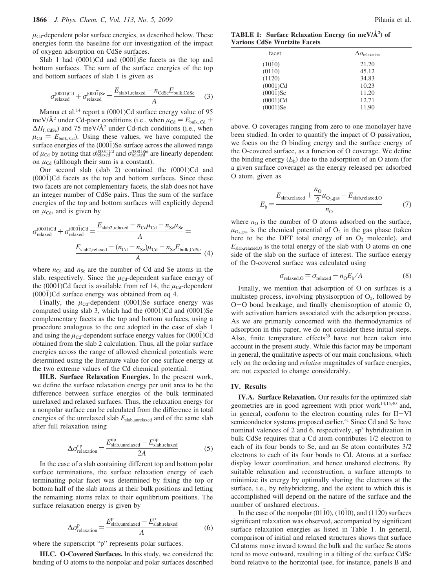$\mu_{\text{Cd}}$ -dependent polar surface energies, as described below. These energies form the baseline for our investigation of the impact of oxygen adsorption on CdSe surfaces.

Slab 1 had  $(0001)$ Cd and  $(000\bar{1})$ Se facets as the top and bottom surfaces. The sum of the surface energies of the top and bottom surfaces of slab 1 is given as

$$
\sigma_{\text{relaxed}}^{(0001)Cd} + \sigma_{\text{relaxed}}^{(0001)Se} = \frac{E_{\text{slab1,relaxed}} - n_{\text{CdSe}} E_{\text{bulk,CdSe}}}{A}
$$
 (3)

Manna et al.<sup>14</sup> report a (0001)Cd surface energy value of 95 meV/ $\AA^2$  under Cd-poor conditions (i.e., when  $\mu_{\text{Cd}} = E_{\text{bulk, Cd}} +$  $\Delta H_{\text{f, CdSe}}$ ) and 75 meV/ $\AA$ <sup>2</sup> under Cd-rich conditions (i.e., when  $\mu_{\text{Cd}} = E_{\text{bulk, Cd}}$ . Using these values, we have computed the surface energies of the  $(000\bar{1})$ Se surface across the allowed range of  $\mu_{\text{Cd}}$  by noting that  $\sigma_{\text{relaxed}}^{(0001)\text{Cd}}$  and  $\sigma_{\text{relaxed}}^{(0001)\text{Se}}$  are linearly dependent on  $\mu_{\text{Cd}}$  (although their sum is a constant).

Our second slab (slab 2) contained the (0001)Cd and  $(000\bar{1})$ Cd facets as the top and bottom surfaces. Since these two facets are not complementary facets, the slab does not have an integer number of CdSe pairs. Thus the sum of the surface energies of the top and bottom surfaces will explicitly depend on  $\mu_{\text{Cd}}$ , and is given by

$$
\sigma_{\text{relaxed}}^{(0001)Cd} + \sigma_{\text{relaxed}}^{(0001)Cd} = \frac{E_{\text{slab2,relaxed}} - n_{\text{Cd}}\mu_{\text{Cd}} - n_{\text{Se}}\mu_{\text{Se}}}{A} =
$$

$$
\frac{E_{\text{slab2,relaxed}} - (n_{\text{Cd}} - n_{\text{Se}})\mu_{\text{Cd}} - n_{\text{Se}}E_{\text{bulk,CdSe}}}{A} \tag{4}
$$

where  $n_{\text{Cd}}$  and  $n_{\text{Se}}$  are the number of Cd and Se atoms in the slab, respectively. Since the  $\mu_{Cd}$ -dependent surface energy of the (0001)Cd facet is available from ref 14, the  $\mu_{\text{Cd}}$ -dependent  $(000\bar{1})Cd$  surface energy was obtained from eq 4.

Finally, the  $\mu_{\text{Cd}}$ -dependent (0001)Se surface energy was computed using slab 3, which had the  $(0001)Cd$  and  $(0001)Se$ complementary facets as the top and bottom surfaces, using a procedure analogous to the one adopted in the case of slab 1 and using the  $\mu_{\text{Cd}}$ -dependent surface energy values for  $(0001)$ Cd obtained from the slab 2 calculation. Thus, all the polar surface energies across the range of allowed chemical potentials were determined using the literature value for one surface energy at the two extreme values of the Cd chemical potential.

**III.B. Surface Relaxation Energies.** In the present work, we define the surface relaxation energy per unit area to be the difference between surface energies of the bulk terminated unrelaxed and relaxed surfaces. Thus, the relaxation energy for a nonpolar surface can be calculated from the difference in total energies of the unrelaxed slab  $E_{\text{slab,unrelaxed}}$  and of the same slab after full relaxation using

$$
\Delta \sigma_{\text{relaxation}}^{\text{np}} = \frac{E_{\text{slab,unrelaxed}}^{\text{np}} - E_{\text{slab,relaxed}}^{\text{np}}}{2A}
$$
 (5)

In the case of a slab containing different top and bottom polar surface terminations, the surface relaxation energy of each terminating polar facet was determined by fixing the top or bottom half of the slab atoms at their bulk positions and letting the remaining atoms relax to their equilibrium positions. The surface relaxation energy is given by

$$
\Delta \sigma_{\text{relaxation}}^{\text{p}} = \frac{E_{\text{slab,unrelaxed}}^{\text{p}} - E_{\text{slab,relaxed}}^{\text{p}}}{A}
$$
 (6)

where the superscript "p" represents polar surfaces.

**III.C. O-Covered Surfaces.** In this study, we considered the binding of O atoms to the nonpolar and polar surfaces described

**TABLE 1: Surface Relaxation Energy (in meV/Å2 ) of Various CdSe Wurtzite Facets**

| facet                 | $\Delta \sigma_{\rm relaxation}$ |
|-----------------------|----------------------------------|
| (1010)                | 21.20                            |
| (0110)                | 45.12                            |
| (1120)                | 34.83                            |
| $(0001)$ Cd           | 10.23                            |
| $(0001)$ Se           | 11.20                            |
| $(000\overline{1})Cd$ | 12.71                            |
| $(0001)$ Se           | 11.90                            |

above. O coverages ranging from zero to one monolayer have been studied. In order to quantify the impact of O passivation, we focus on the O binding energy and the surface energy of the O-covered surface, as a function of O coverage. We define the binding energy  $(E_b)$  due to the adsorption of an O atom (for a given surface coverage) as the energy released per adsorbed O atom, given as

$$
E_{\rm b} = \frac{E_{\rm slab,relaxed} + \frac{n_{\rm O}}{2}\mu_{\rm O_2, gas} - E_{\rm slab,relaxed, O}}{n_{\rm O}}\tag{7}
$$

where  $n_0$  is the number of O atoms adsorbed on the surface,  $\mu_{\text{O}_2}$ ,gas is the chemical potential of  $\text{O}_2$  in the gas phase (taken here to be the DFT total energy of an  $O_2$  molecule), and  $E_{\text{slab,relaxed,O}}$  is the total energy of the slab with O atoms on one side of the slab on the surface of interest. The surface energy of the O-covered surface was calculated using

$$
\sigma_{\text{relaxed,O}} = \sigma_{\text{relaxed}} - n_{\text{O}} E_{\text{b}} / A \tag{8}
$$

Finally, we mention that adsorption of O on surfaces is a multistep process, involving physisorption of  $O_2$ , followed by <sup>O</sup>-O bond breakage, and finally chemisorption of atomic O, with activation barriers associated with the adsorption process. As we are primarily concerned with the thermodynamics of adsorption in this paper, we do not consider these initial steps. Also, finite temperature effects<sup>39</sup> have not been taken into account in the present study. While this factor may be important in general, the qualitative aspects of our main conclusions, which rely on the ordering and *relative* magnitudes of surface energies, are not expected to change considerably.

### **IV. Results**

**IV.A. Surface Relaxation.** Our results for the optimized slab geometries are in good agreement with prior work $14,15,40$  and, in general, conform to the electron counting rules for II-VI semiconductor systems proposed earlier.<sup>41</sup> Since Cd and Se have nominal valences of 2 and 6, respectively,  $sp<sup>3</sup>$  hybridization in bulk CdSe requires that a Cd atom contributes 1/2 electron to each of its four bonds to Se, and an Se atom contributes 3/2 electrons to each of its four bonds to Cd. Atoms at a surface display lower coordination, and hence unshared electrons. By suitable relaxation and reconstruction, a surface attempts to minimize its energy by optimally sharing the electrons at the surface, i.e., by rehybridizing, and the extent to which this is accomplished will depend on the nature of the surface and the number of unshared electrons.

In the case of the nonpolar (0110), (1010), and (1120) surfaces significant relaxation was observed, accompanied by significant surface relaxation energies as listed in Table 1. In general, comparison of initial and relaxed structures shows that surface Cd atoms move inward toward the bulk and the surface Se atoms tend to move outward, resulting in a tilting of the surface CdSe bond relative to the horizontal (see, for instance, panels B and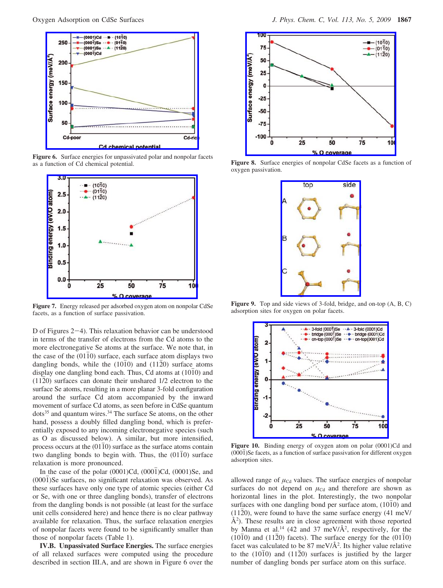

**Figure 6.** Surface energies for unpassivated polar and nonpolar facets as a function of Cd chemical potential.



**Figure 7.** Energy released per adsorbed oxygen atom on nonpolar CdSe facets, as a function of surface passivation.

D of Figures 2-4). This relaxation behavior can be understood in terms of the transfer of electrons from the Cd atoms to the more electronegative Se atoms at the surface. We note that, in the case of the  $(0110)$  surface, each surface atom displays two dangling bonds, while the  $(1010)$  and  $(1120)$  surface atoms display one dangling bond each. Thus, Cd atoms at  $(10\bar{1}0)$  and  $(11\overline{2}0)$  surfaces can donate their unshared  $1/2$  electron to the surface Se atoms, resulting in a more planar 3-fold configuration around the surface Cd atom accompanied by the inward movement of surface Cd atoms, as seen before in CdSe quantum  $dots^{35}$  and quantum wires.<sup>34</sup> The surface Se atoms, on the other hand, possess a doubly filled dangling bond, which is preferentially exposed to any incoming electronegative species (such as O as discussed below). A similar, but more intensified, process occurs at the  $(01\bar{1}0)$  surface as the surface atoms contain two dangling bonds to begin with. Thus, the  $(0110)$  surface relaxation is more pronounced.

In the case of the polar  $(0001)Cd$ ,  $(000\bar{1})Cd$ ,  $(0001)Se$ , and (0001)Se surfaces, no significant relaxation was observed. As these surfaces have only one type of atomic species (either Cd or Se, with one or three dangling bonds), transfer of electrons from the dangling bonds is not possible (at least for the surface unit cells considered here) and hence there is no clear pathway available for relaxation. Thus, the surface relaxation energies of nonpolar facets were found to be significantly smaller than those of nonpolar facets (Table 1).

**IV.B. Unpassivated Surface Energies.** The surface energies of all relaxed surfaces were computed using the procedure described in section III.A, and are shown in Figure 6 over the



**Figure 8.** Surface energies of nonpolar CdSe facets as a function of oxygen passivation.



**Figure 9.** Top and side views of 3-fold, bridge, and on-top (A, B, C) adsorption sites for oxygen on polar facets.



**Figure 10.** Binding energy of oxygen atom on polar (0001)Cd and (0001)Se facets, as a function of surface passivation for different oxygen adsorption sites.

allowed range of  $\mu_{\text{Cd}}$  values. The surface energies of nonpolar surfaces do not depend on  $\mu_{\text{Cd}}$  and therefore are shown as horizontal lines in the plot. Interestingly, the two nonpolar surfaces with one dangling bond per surface atom,  $(10\bar{1}0)$  and  $(11\overline{2}0)$ , were found to have the same surface energy (41 meV/  $\AA^2$ ). These results are in close agreement with those reported by Manna et al.<sup>14</sup> (42 and 37 meV/ $\AA$ <sup>2</sup>, respectively, for the  $(10\overline{1}0)$  and  $(11\overline{2}0)$  facets). The surface energy for the  $(01\overline{1}0)$ facet was calculated to be 87 meV/ $\AA$ <sup>2</sup>. Its higher value relative to the  $(1010)$  and  $(1120)$  surfaces is justified by the larger number of dangling bonds per surface atom on this surface.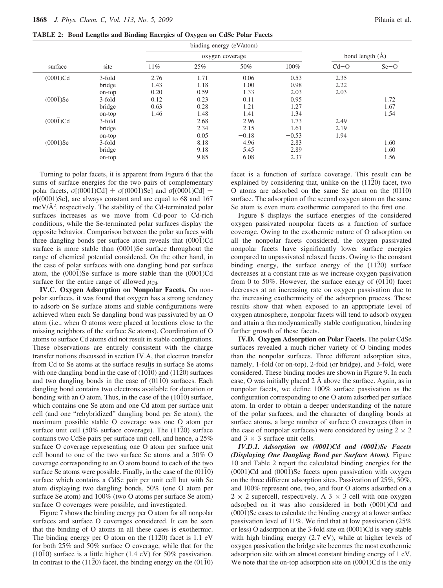**TABLE 2: Bond Lengths and Binding Energies of Oxygen on CdSe Polar Facets**

| site<br>surface       |        | binding energy (eV/atom) |         |         |                     |        |        |
|-----------------------|--------|--------------------------|---------|---------|---------------------|--------|--------|
|                       |        | oxygen coverage          |         |         | bond length $(\AA)$ |        |        |
|                       |        | 11%                      | 25%     | 50%     | 100%                | $Cd-O$ | $Se-O$ |
| $(0001)$ Cd           | 3-fold | 2.76                     | 1.71    | 0.06    | 0.53                | 2.35   |        |
|                       | bridge | 1.43                     | 1.18    | 1.00    | 0.98                | 2.22   |        |
|                       | on-top | $-0.20$                  | $-0.59$ | $-1.33$ | $-2.03$             | 2.03   |        |
| $(0001)$ Se           | 3-fold | 0.12                     | 0.23    | 0.11    | 0.95                |        | 1.72   |
|                       | bridge | 0.63                     | 0.28    | 1.21    | 1.27                |        | 1.67   |
|                       | on-top | 1.46                     | 1.48    | 1.41    | 1.34                |        | 1.54   |
| $(000\overline{1})Cd$ | 3-fold |                          | 2.68    | 2.96    | 1.73                | 2.49   |        |
|                       | bridge |                          | 2.34    | 2.15    | 1.61                | 2.19   |        |
|                       | on-top |                          | 0.05    | $-0.18$ | $-0.53$             | 1.94   |        |
| $(0001)$ Se           | 3-fold |                          | 8.18    | 4.96    | 2.83                |        | 1.60   |
|                       | bridge |                          | 9.18    | 5.45    | 2.89                |        | 1.60   |
|                       | on-top |                          | 9.85    | 6.08    | 2.37                |        | 1.56   |

Turning to polar facets, it is apparent from Figure 6 that the sums of surface energies for the two pairs of complementary polar facets,  $\sigma$ [(0001)Cd] +  $\sigma$ [(0001)Se] and  $\sigma$ [(0001)Cd] + *σ*[(0001)Se], are always constant and are equal to 68 and 167 meV/Å2 , respectively. The stability of the Cd-terminated polar surfaces increases as we move from Cd-poor to Cd-rich conditions, while the Se-terminated polar surfaces display the opposite behavior. Comparison between the polar surfaces with three dangling bonds per surface atom reveals that  $(000\bar{1})Cd$ surface is more stable than (0001)Se surface throughout the range of chemical potential considered. On the other hand, in the case of polar surfaces with one dangling bond per surface atom, the  $(000\bar{1})$ Se surface is more stable than the  $(0001)$ Cd surface for the entire range of allowed  $\mu_{\text{Cd}}$ .

**IV.C. Oxygen Adsorption on Nonpolar Facets.** On nonpolar surfaces, it was found that oxygen has a strong tendency to adsorb on Se surface atoms and stable configurations were achieved when each Se dangling bond was passivated by an O atom (i.e., when O atoms were placed at locations close to the missing neighbors of the surface Se atoms). Coordination of O atoms to surface Cd atoms did not result in stable configurations. These observations are entirely consistent with the charge transfer notions discussed in section IV.A, that electron transfer from Cd to Se atoms at the surface results in surface Se atoms with one dangling bond in the case of  $(10\bar{1}0)$  and  $(11\bar{2}0)$  surfaces and two dangling bonds in the case of  $(01\bar{1}0)$  surfaces. Each dangling bond contains two electrons available for donation or bonding with an O atom. Thus, in the case of the  $(10\overline{1}0)$  surface, which contains one Se atom and one Cd atom per surface unit cell (and one "rehybridized" dangling bond per Se atom), the maximum possible stable O coverage was one O atom per surface unit cell (50% surface coverage). The  $(11\overline{2}0)$  surface contains two CdSe pairs per surface unit cell, and hence, a 25% surface O coverage representing one O atom per surface unit cell bound to one of the two surface Se atoms and a 50% O coverage corresponding to an O atom bound to each of the two surface Se atoms were possible. Finally, in the case of the  $(01\overline{1}0)$ surface which contains a CdSe pair per unit cell but with Se atom displaying two dangling bonds, 50% (one O atom per surface Se atom) and 100% (two O atoms per surface Se atom) surface O coverages were possible, and investigated.

Figure 7 shows the binding energy per O atom for all nonpolar surfaces and surface O coverages considered. It can be seen that the binding of O atoms in all these cases is exothermic. The binding energy per O atom on the  $(1120)$  facet is 1.1 eV for both 25% and 50% surface O coverage, while that for the  $(10\bar{1}0)$  surface is a little higher (1.4 eV) for 50% passivation. In contrast to the (1120) facet, the binding energy on the  $(01\overline{1}0)$ 

facet is a function of surface coverage. This result can be explained by considering that, unlike on the  $(11\overline{2}0)$  facet, two O atoms are adsorbed on the same Se atom on the  $(01\overline{1}0)$ surface. The adsorption of the second oxygen atom on the same Se atom is even more exothermic compared to the first one.

Figure 8 displays the surface energies of the considered oxygen passivated nonpolar facets as a function of surface coverage. Owing to the exothermic nature of O adsorption on all the nonpolar facets considered, the oxygen passivated nonpolar facets have significantly lower surface energies compared to unpassivated relaxed facets. Owing to the constant binding energy, the surface energy of the  $(11\overline{2}0)$  surface decreases at a constant rate as we increase oxygen passivation from 0 to 50%. However, the surface energy of  $(0110)$  facet decreases at an increasing rate on oxygen passivation due to the increasing exothermicity of the adsorption process. These results show that when exposed to an appropriate level of oxygen atmosphere, nonpolar facets will tend to adsorb oxygen and attain a thermodynamically stable configuration, hindering further growth of these facets.

**IV.D. Oxygen Adsorption on Polar Facets.** The polar CdSe surfaces revealed a much richer variety of O binding modes than the nonpolar surfaces. Three different adsorption sites, namely, 1-fold (or on-top), 2-fold (or bridge), and 3-fold, were considered. These binding modes are shown in Figure 9. In each case, O was initially placed 2 Å above the surface. Again, as in nonpolar facets, we define 100% surface passivation as the configuration corresponding to one O atom adsorbed per surface atom. In order to obtain a deeper understanding of the nature of the polar surfaces, and the character of dangling bonds at surface atoms, a large number of surface O coverages (than in the case of nonpolar surfaces) were considered by using  $2 \times 2$ and  $3 \times 3$  surface unit cells.

*IV.D.1. Adsorption on (0001)Cd and (0001*j*)Se Facets (Displaying One Dangling Bond per Surface Atom).* Figure 10 and Table 2 report the calculated binding energies for the  $(0001)$ Cd and  $(000\bar{1})$ Se facets upon passivation with oxygen on the three different adsorption sites. Passivation of 25%, 50%, and 100% represent one, two, and four O atoms adsorbed on a  $2 \times 2$  supercell, respectively. A  $3 \times 3$  cell with one oxygen adsorbed on it was also considered in both (0001)Cd and  $(0001)$ Se cases to calculate the binding energy at a lower surface passivation level of 11%. We find that at low passivation (25% or less) O adsorption at the 3-fold site on (0001)Cd is very stable with high binding energy (2.7 eV), while at higher levels of oxygen passivation the bridge site becomes the most exothermic adsorption site with an almost constant binding energy of 1 eV. We note that the on-top adsorption site on  $(0001)$ Cd is the only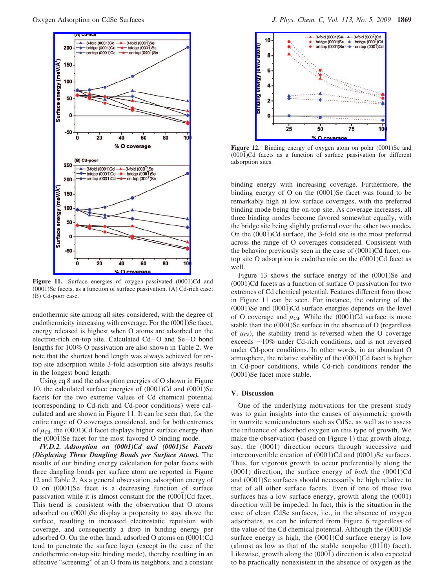

Figure 11. Surface energies of oxygen-passivated (0001)Cd and  $(0001)$ Se facets, as a function of surface passivation. (A) Cd-rich case; (B) Cd-poor case.

endothermic site among all sites considered, with the degree of endothermicity increasing with coverage. For the  $(000\bar{1})$ Se facet, energy released is highest when O atoms are adsorbed on the electron-rich on-top site. Calculated Cd-O and Se-O bond lengths for 100% O passivation are also shown in Table 2. We note that the shortest bond length was always achieved for ontop site adsorption while 3-fold adsorption site always results in the longest bond length.

Using eq 8 and the adsorption energies of O shown in Figure 10, the calculated surface energies of  $(0001)$ Cd and  $(0001)$ Se facets for the two extreme values of Cd chemical potential (corresponding to Cd-rich and Cd-poor conditions) were calculated and are shown in Figure 11. It can be seen that, for the entire range of O coverages considered, and for both extremes of  $\mu_{\text{Cd}}$ , the (0001)Cd facet displays higher surface energy than the  $(0001)$ Se facet for the most favored O binding mode.

*IV.D.2. Adsorption on (0001*j*)Cd and (0001)Se Facets (Displaying Three Dangling Bonds per Surface Atom).* The results of our binding energy calculation for polar facets with three dangling bonds per surface atom are reported in Figure 12 and Table 2. As a general observation, adsorption energy of O on (0001)Se facet is a decreasing function of surface passivation while it is almost constant for the  $(000\bar{1})Cd$  facet. This trend is consistent with the observation that O atoms adsorbed on (0001)Se display a propensity to stay above the surface, resulting in increased electrostatic repulsion with coverage, and consequently a drop in binding energy per adsorbed O. On the other hand, adsorbed O atoms on  $(0001)Cd$ tend to penetrate the surface layer (except in the case of the endothermic on-top site binding mode), thereby resulting in an effective "screening" of an O from its neighbors, and a constant



Figure 12. Binding energy of oxygen atom on polar (0001)Se and  $(000\bar{1})$ Cd facets as a function of surface passivation for different adsorption sites.

binding energy with increasing coverage. Furthermore, the binding energy of O on the (0001)Se facet was found to be remarkably high at low surface coverages, with the preferred binding mode being the on-top site. As coverage increases, all three binding modes become favored somewhat equally, with the bridge site being slightly preferred over the other two modes. On the (0001)Cd surface, the 3-fold site is the most preferred across the range of O coverages considered. Consistent with the behavior previously seen in the case of (0001)Cd facet, ontop site O adsorption is endothermic on the  $(0001)Cd$  facet as well.

Figure 13 shows the surface energy of the (0001)Se and  $(0001)$ Cd facets as a function of surface O passivation for two extremes of Cd chemical potential. Features different from those in Figure 11 can be seen. For instance, the ordering of the  $(0001)$ Se and  $(0001)$ Cd surface energies depends on the level of O coverage and  $\mu_{\text{Cd}}$ . While the (0001)Cd surface is more stable than the (0001)Se surface in the absence of O (regardless of  $\mu_{\text{Cd}}$ , the stability trend is reversed when the O coverage exceeds ∼10% under Cd-rich conditions, and is not reversed under Cd-poor conditions. In other words, in an abundant O atmosphere, the relative stability of the (0001)Cd facet is higher in Cd-poor conditions, while Cd-rich conditions render the (0001)Se facet more stable.

### **V. Discussion**

One of the underlying motivations for the present study was to gain insights into the causes of asymmetric growth in wurtzite semiconductors such as CdSe, as well as to assess the influence of adsorbed oxygen on this type of growth. We make the observation (based on Figure 1) that growth along, say, the (0001) direction occurs through successive and interconvertible creation of (0001)Cd and (0001)Se surfaces. Thus, for vigorous growth to occur preferentially along the (0001) direction, the surface energy of *both* the (0001)Cd and (0001)Se surfaces should necessarily be high relative to that of all other surface facets. Even if one of these two surfaces has a low surface energy, growth along the (0001) direction will be impeded. In fact, this is the situation in the case of clean CdSe surfaces, i.e., in the absence of oxygen adsorbates, as can be inferred from Figure 6 regardless of the value of the Cd chemical potential. Although the (0001)Se surface energy is high, the (0001)Cd surface energy is low (almost as low as that of the stable nonpolar  $(01\bar{1}0)$  facet). Likewise, growth along the  $(0001)$  direction is also expected to be practically nonexistent in the absence of oxygen as the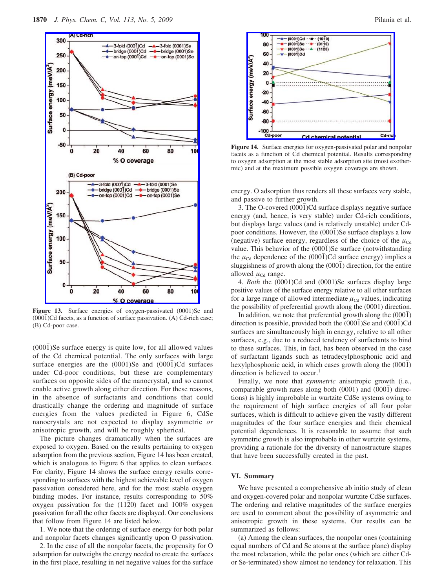

Figure 13. Surface energies of oxygen-passivated (0001)Se and  $(0001)$ Cd facets, as a function of surface passivation. (A) Cd-rich case; (B) Cd-poor case.

 $(000\bar{1})$ Se surface energy is quite low, for all allowed values of the Cd chemical potential. The only surfaces with large surface energies are the  $(0001)$ Se and  $(0001)$ Cd surfaces under Cd-poor conditions, but these are complementary surfaces on opposite sides of the nanocrystal, and so cannot enable active growth along either direction. For these reasons, in the absence of surfactants and conditions that could drastically change the ordering and magnitude of surface energies from the values predicted in Figure 6, CdSe nanocrystals are not expected to display asymmetric *or* anisotropic growth, and will be roughly spherical.

The picture changes dramatically when the surfaces are exposed to oxygen. Based on the results pertaining to oxygen adsorption from the previous section, Figure 14 has been created, which is analogous to Figure 6 that applies to clean surfaces. For clarity, Figure 14 shows the surface energy results corresponding to surfaces with the highest achievable level of oxygen passivation considered here, and for the most stable oxygen binding modes. For instance, results corresponding to 50% oxygen passivation for the  $(11\overline{2}0)$  facet and 100% oxygen passivation for all the other facets are displayed. Our conclusions that follow from Figure 14 are listed below.

1. We note that the ordering of surface energy for both polar and nonpolar facets changes significantly upon O passivation.

2. In the case of all the nonpolar facets, the propensity for O adsorption far outweighs the energy needed to create the surfaces in the first place, resulting in net negative values for the surface



**Figure 14.** Surface energies for oxygen-passivated polar and nonpolar facets as a function of Cd chemical potential. Results corresponding to oxygen adsorption at the most stable adsorption site (most exothermic) and at the maximum possible oxygen coverage are shown.

energy. O adsorption thus renders all these surfaces very stable, and passive to further growth.

3. The O-covered  $(000\bar{1})Cd$  surface displays negative surface energy (and, hence, is very stable) under Cd-rich conditions, but displays large values (and is relatively unstable) under Cdpoor conditions. However, the (0001)Se surface displays a low (negative) surface energy, regardless of the choice of the  $\mu_{\text{Cd}}$ value. This behavior of the  $(000\bar{1})$ Se surface (notwithstanding the  $\mu_{\text{Cd}}$  dependence of the (0001)Cd surface energy) implies a sluggishness of growth along the  $(000\bar{1})$  direction, for the entire allowed  $\mu_{\text{Cd}}$  range.

4. *Both* the (0001)Cd and (0001)Se surfaces display large positive values of the surface energy relative to all other surfaces for a large range of allowed intermediate  $\mu_{\text{Cd}}$  values, indicating the possibility of preferential growth along the (0001) direction.

In addition, we note that preferential growth along the  $(0001)$ direction is possible, provided both the  $(000\bar{1})$ Se and  $(000\bar{1})$ Cd surfaces are simultaneously high in energy, relative to all other surfaces, e.g., due to a reduced tendency of surfactants to bind to these surfaces. This, in fact, has been observed in the case of surfactant ligands such as tetradecylphosphonic acid and hexylphosphonic acid, in which cases growth along the  $(000\bar{1})$ direction is believed to occur.<sup>1</sup>

Finally, we note that *symmetric* anisotropic growth (i.e., comparable growth rates along both  $(0001)$  and  $(0001)$  directions) is highly improbable in wurtzite CdSe systems owing to the requirement of high surface energies of all four polar surfaces, which is difficult to achieve given the vastly different magnitudes of the four surface energies and their chemical potential dependences. It is reasonable to assume that such symmetric growth is also improbable in other wurtzite systems, providing a rationale for the diversity of nanostructure shapes that have been successfully created in the past.

# **VI. Summary**

We have presented a comprehensive ab initio study of clean and oxygen-covered polar and nonpolar wurtzite CdSe surfaces. The ordering and relative magnitudes of the surface energies are used to comment about the possibility of asymmetric and anisotropic growth in these systems. Our results can be summarized as follows:

(a) Among the clean surfaces, the nonpolar ones (containing equal numbers of Cd and Se atoms at the surface plane) display the most relaxation, while the polar ones (which are either Cdor Se-terminated) show almost no tendency for relaxation. This